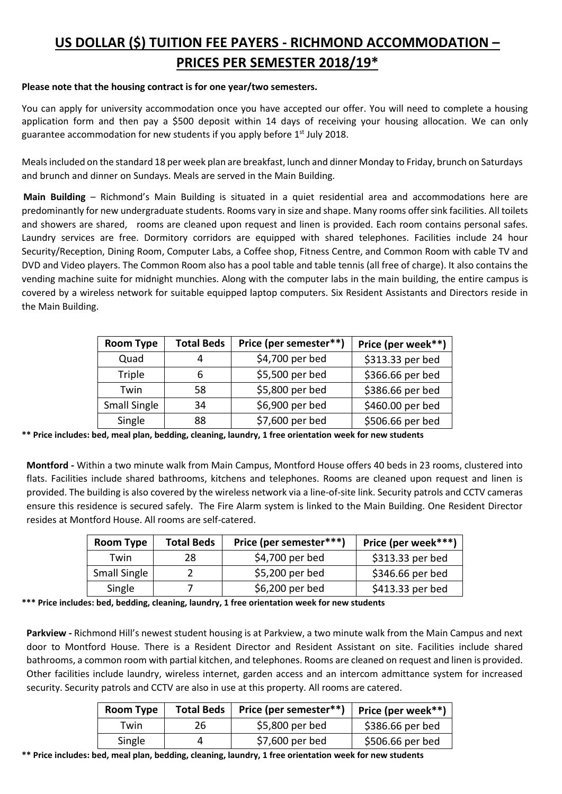## **US DOLLAR (\$) TUITION FEE PAYERS - RICHMOND ACCOMMODATION – PRICES PER SEMESTER 2018/19\***

## **Please note that the housing contract is for one year/two semesters.**

You can apply for university accommodation once you have accepted our offer. You will need to complete a housing application form and then pay a \$500 deposit within 14 days of receiving your housing allocation. We can only guarantee accommodation for new students if you apply before 1<sup>st</sup> July 2018.

Meals included on the standard 18 per week plan are breakfast, lunch and dinner Monday to Friday, brunch on Saturdays and brunch and dinner on Sundays. Meals are served in the Main Building.

**Main Building** – Richmond's Main Building is situated in a quiet residential area and accommodations here are predominantly for new undergraduate students. Rooms vary in size and shape. Many rooms offer sink facilities. All toilets and showers are shared, rooms are cleaned upon request and linen is provided. Each room contains personal safes. Laundry services are free. Dormitory corridors are equipped with shared telephones. Facilities include 24 hour Security/Reception, Dining Room, Computer Labs, a Coffee shop, Fitness Centre, and Common Room with cable TV and DVD and Video players. The Common Room also has a pool table and table tennis (all free of charge). It also contains the vending machine suite for midnight munchies. Along with the computer labs in the main building, the entire campus is covered by a wireless network for suitable equipped laptop computers. Six Resident Assistants and Directors reside in the Main Building.

| <b>Room Type</b> | <b>Total Beds</b> | Price (per semester**) | Price (per week**) |
|------------------|-------------------|------------------------|--------------------|
| Quad             |                   | \$4,700 per bed        | \$313.33 per bed   |
| Triple           | n                 | \$5,500 per bed        | \$366.66 per bed   |
| Twin             | 58                | \$5,800 per bed        | \$386.66 per bed   |
| Small Single     | 34                | \$6,900 per bed        | \$460.00 per bed   |
| Single           | 88                | \$7,600 per bed        | \$506.66 per bed   |

**\*\* Price includes: bed, meal plan, bedding, cleaning, laundry, 1 free orientation week for new students**

**Montford -** Within a two minute walk from Main Campus, Montford House offers 40 beds in 23 rooms, clustered into flats. Facilities include shared bathrooms, kitchens and telephones. Rooms are cleaned upon request and linen is provided. The building is also covered by the wireless network via a line-of-site link. Security patrols and CCTV cameras ensure this residence is secured safely. The Fire Alarm system is linked to the Main Building. One Resident Director resides at Montford House. All rooms are self-catered.

| <b>Room Type</b>    | <b>Total Beds</b> | Price (per semester***) | Price (per week***) |
|---------------------|-------------------|-------------------------|---------------------|
| Twin                | 28                | \$4,700 per bed         | \$313.33 per bed    |
| <b>Small Single</b> |                   | \$5,200 per bed         | \$346.66 per bed    |
| Single              |                   | \$6,200 per bed         | \$413.33 per bed    |

**\*\*\* Price includes: bed, bedding, cleaning, laundry, 1 free orientation week for new students**

**Parkview -** Richmond Hill's newest student housing is at Parkview, a two minute walk from the Main Campus and next door to Montford House. There is a Resident Director and Resident Assistant on site. Facilities include shared bathrooms, a common room with partial kitchen, and telephones. Rooms are cleaned on request and linen is provided. Other facilities include laundry, wireless internet, garden access and an intercom admittance system for increased security. Security patrols and CCTV are also in use at this property. All rooms are catered.

| Room Type | <b>Total Beds</b> | Price (per semester**) | Price (per week**) |
|-----------|-------------------|------------------------|--------------------|
| Twin      | 26                | \$5,800 per bed        | \$386.66 per bed   |
| Single    |                   | \$7,600 per bed        | \$506.66 per bed   |

**\*\* Price includes: bed, meal plan, bedding, cleaning, laundry, 1 free orientation week for new students**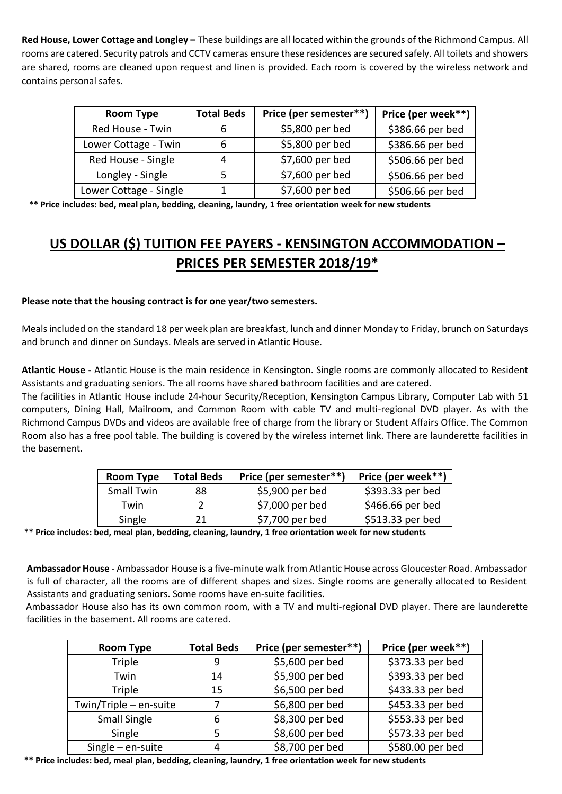**Red House, Lower Cottage and Longley –** These buildings are all located within the grounds of the Richmond Campus. All rooms are catered. Security patrols and CCTV cameras ensure these residences are secured safely. All toilets and showers are shared, rooms are cleaned upon request and linen is provided. Each room is covered by the wireless network and contains personal safes.

| <b>Room Type</b>       | <b>Total Beds</b> | Price (per semester**) | Price (per week**) |
|------------------------|-------------------|------------------------|--------------------|
| Red House - Twin       |                   | \$5,800 per bed        | \$386.66 per bed   |
| Lower Cottage - Twin   |                   | \$5,800 per bed        | \$386.66 per bed   |
| Red House - Single     |                   | \$7,600 per bed        | \$506.66 per bed   |
| Longley - Single       |                   | \$7,600 per bed        | \$506.66 per bed   |
| Lower Cottage - Single |                   | \$7,600 per bed        | \$506.66 per bed   |

**\*\* Price includes: bed, meal plan, bedding, cleaning, laundry, 1 free orientation week for new students**

## **US DOLLAR (\$) TUITION FEE PAYERS - KENSINGTON ACCOMMODATION – PRICES PER SEMESTER 2018/19\***

## **Please note that the housing contract is for one year/two semesters.**

Meals included on the standard 18 per week plan are breakfast, lunch and dinner Monday to Friday, brunch on Saturdays and brunch and dinner on Sundays. Meals are served in Atlantic House.

**Atlantic House -** Atlantic House is the main residence in Kensington. Single rooms are commonly allocated to Resident Assistants and graduating seniors. The all rooms have shared bathroom facilities and are catered.

The facilities in Atlantic House include 24-hour Security/Reception, Kensington Campus Library, Computer Lab with 51 computers, Dining Hall, Mailroom, and Common Room with cable TV and multi-regional DVD player. As with the Richmond Campus DVDs and videos are available free of charge from the library or Student Affairs Office. The Common Room also has a free pool table. The building is covered by the wireless internet link. There are launderette facilities in the basement.

| Room Type         | <b>Total Beds</b> | Price (per semester**) | Price (per week**) $ $ |
|-------------------|-------------------|------------------------|------------------------|
| <b>Small Twin</b> | 88                | \$5,900 per bed        | \$393.33 per bed       |
| Twin              |                   | \$7,000 per bed        | \$466.66 per bed       |
| Single            | 21                | \$7,700 per bed        | \$513.33 per bed       |

**\*\* Price includes: bed, meal plan, bedding, cleaning, laundry, 1 free orientation week for new students** 

**Ambassador House** - Ambassador House is a five-minute walk from Atlantic House across Gloucester Road. Ambassador is full of character, all the rooms are of different shapes and sizes. Single rooms are generally allocated to Resident Assistants and graduating seniors. Some rooms have en-suite facilities.

Ambassador House also has its own common room, with a TV and multi-regional DVD player. There are launderette facilities in the basement. All rooms are catered.

| <b>Room Type</b>       | <b>Total Beds</b> | Price (per semester**) | Price (per week**) |
|------------------------|-------------------|------------------------|--------------------|
| Triple                 | 9                 | \$5,600 per bed        | \$373.33 per bed   |
| Twin                   | 14                | \$5,900 per bed        | \$393.33 per bed   |
| Triple                 | 15                | \$6,500 per bed        | \$433.33 per bed   |
| Twin/Triple - en-suite |                   | \$6,800 per bed        | \$453.33 per bed   |
| Small Single           | 6                 | \$8,300 per bed        | \$553.33 per bed   |
| Single                 |                   | \$8,600 per bed        | \$573.33 per bed   |
| $Single - en$ -suite   | 4                 | \$8,700 per bed        | \$580.00 per bed   |

**\*\* Price includes: bed, meal plan, bedding, cleaning, laundry, 1 free orientation week for new students**